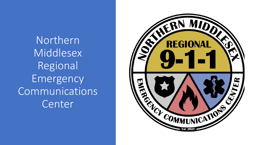Northern **Middlesex** Regional Emergency Communications Center

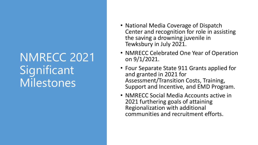## NMRECC 2021 Significant Milestones

- National Media Coverage of Dispatch Center and recognition for role in assisting the saving a drowning juvenile in Tewksbury in July 2021.
- NMRECC Celebrated One Year of Operation on 9/1/2021.
- Four Separate State 911 Grants applied for and granted in 2021 for Assessment/Transition Costs, Training, Support and Incentive, and EMD Program.
- NMRECC Social Media Accounts active in 2021 furthering goals of attaining Regionalization with additional communities and recruitment efforts.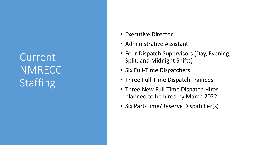Current **NMRECC** Staffing

- Executive Director
- Administrative Assistant
- Four Dispatch Supervisors (Day, Evening, Split, and Midnight Shifts)
- Six Full -Time Dispatchers
- Three Full-Time Dispatch Trainees
- Three New Full-Time Dispatch Hires planned to be hired by March 2022
- Six Part -Time/Reserve Dispatcher(s)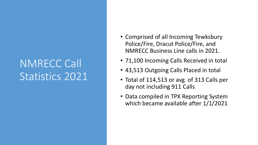## NMRECC Call Statistics 2021

- Comprised of all Incoming Tewksbury Police/Fire, Dracut Police/Fire, and NMRECC Business Line calls in 2021.
- 71,100 Incoming Calls Received in total
- 43,513 Outgoing Calls Placed in total
- Total of 114,513 or avg. of 313 Calls per day not including 911 Calls
- Data compiled in TPX Reporting System which became available after 1/1/2021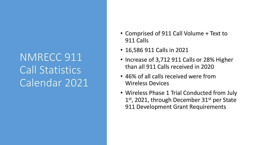## NMRECC 911 Call Statistics Calendar 2021

- Comprised of 911 Call Volume + Text to 911 Calls
- 16,586 911 Calls in 2021
- Increase of 3,712 911 Calls or 28% Higher than all 911 Calls received in 2020
- 46% of all calls received were from Wireless Devices
- Wireless Phase 1 Trial Conducted from July 1<sup>st</sup>, 2021, through December 31<sup>st</sup> per State 911 Development Grant Requirements